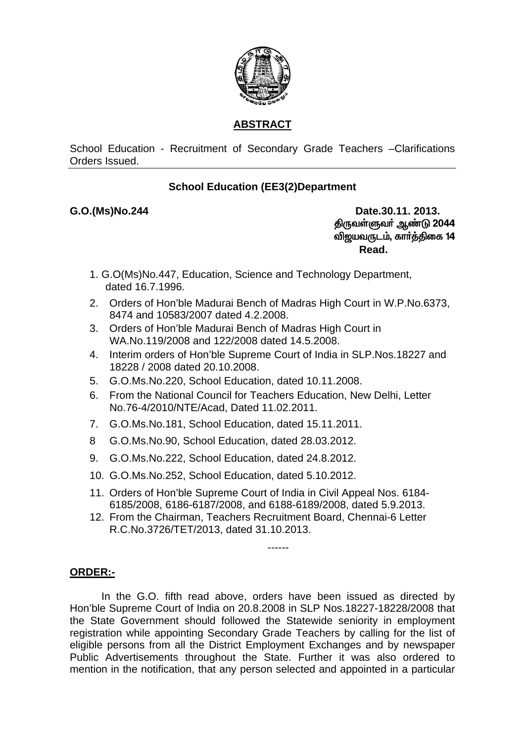

# **ABSTRACT**

## School Education - Recruitment of Secondary Grade Teachers - Clarifications Orders Issued

# **School Education (EE3(2)Department**

## G.O.(Ms)No.244

Date.30.11, 2013. திருவள்ளுவர் ஆண்டு 2044 விஜயவருடம், கார்த்திகை 14 Read.

- 1. G.O(Ms)No.447, Education, Science and Technology Department, dated 16.7.1996.
- 2. Orders of Hon'ble Madurai Bench of Madras High Court in W.P.No.6373, 8474 and 10583/2007 dated 4.2.2008.
- 3. Orders of Hon'ble Madurai Bench of Madras High Court in WA.No.119/2008 and 122/2008 dated 14.5.2008.
- 4. Interim orders of Hon'ble Supreme Court of India in SLP. Nos. 18227 and 18228 / 2008 dated 20.10.2008.
- 5. G.O.Ms. No. 220, School Education, dated 10.11.2008.
- 6. From the National Council for Teachers Education, New Delhi, Letter No.76-4/2010/NTE/Acad, Dated 11.02.2011.
- 7. G.O.Ms.No.181, School Education. dated 15.11.2011.
- $\mathsf{R}$ G.O.Ms.No.90, School Education, dated 28.03.2012.
- 9. G.O.Ms. No. 222, School Education, dated 24.8. 2012.
- 10. G.O.Ms.No.252. School Education. dated 5.10.2012.
- 11. Orders of Hon'ble Supreme Court of India in Civil Appeal Nos. 6184-6185/2008, 6186-6187/2008, and 6188-6189/2008, dated 5.9.2013.
- 12. From the Chairman. Teachers Recruitment Board. Chennai-6 Letter R.C.No.3726/TET/2013, dated 31.10.2013.

## ORDER:-

In the G.O. fifth read above, orders have been issued as directed by Hon'ble Supreme Court of India on 20.8.2008 in SLP Nos.18227-18228/2008 that the State Government should followed the Statewide seniority in employment registration while appointing Secondary Grade Teachers by calling for the list of eligible persons from all the District Employment Exchanges and by newspaper Public Advertisements throughout the State. Further it was also ordered to mention in the notification, that any person selected and appointed in a particular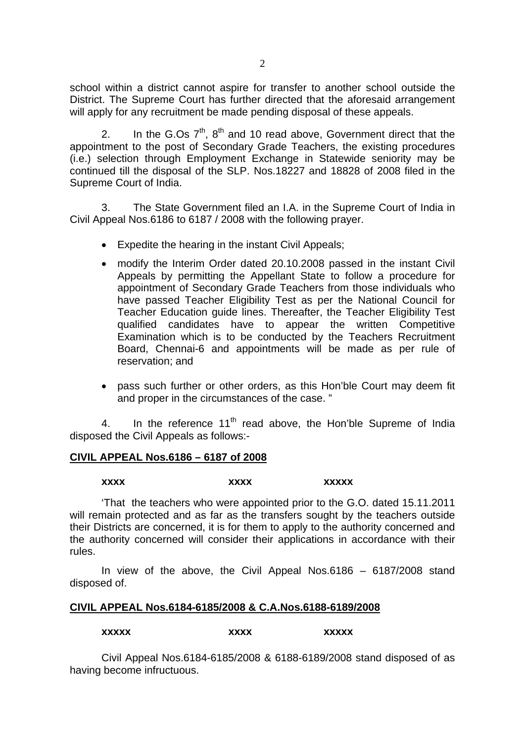school within a district cannot aspire for transfer to another school outside the District. The Supreme Court has further directed that the aforesaid arrangement will apply for any recruitment be made pending disposal of these appeals.

2. In the G.Os  $7<sup>th</sup>$ ,  $8<sup>th</sup>$  and 10 read above, Government direct that the appointment to the post of Secondary Grade Teachers, the existing procedures (i.e.) selection through Employment Exchange in Statewide seniority may be continued till the disposal of the SLP. Nos.18227 and 18828 of 2008 filed in the Supreme Court of India.

3. The State Government filed an I.A. in the Supreme Court of India in Civil Appeal Nos.6186 to 6187 / 2008 with the following prayer.

- Expedite the hearing in the instant Civil Appeals;
- modify the Interim Order dated 20.10.2008 passed in the instant Civil Appeals by permitting the Appellant State to follow a procedure for appointment of Secondary Grade Teachers from those individuals who have passed Teacher Eligibility Test as per the National Council for Teacher Education guide lines. Thereafter, the Teacher Eligibility Test qualified candidates have to appear the written Competitive Examination which is to be conducted by the Teachers Recruitment Board, Chennai-6 and appointments will be made as per rule of reservation; and
- pass such further or other orders, as this Hon'ble Court may deem fit and proper in the circumstances of the case. "

4. In the reference  $11<sup>th</sup>$  read above, the Hon'ble Supreme of India disposed the Civil Appeals as follows:-

#### **CIVIL APPEAL Nos.6186 – 6187 of 2008**

#### **xxxx** xxxxx xxxxx

 'That the teachers who were appointed prior to the G.O. dated 15.11.2011 will remain protected and as far as the transfers sought by the teachers outside their Districts are concerned, it is for them to apply to the authority concerned and the authority concerned will consider their applications in accordance with their rules.

 In view of the above, the Civil Appeal Nos.6186 – 6187/2008 stand disposed of.

#### **CIVIL APPEAL Nos.6184-6185/2008 & C.A.Nos.6188-6189/2008**

**xxxxx** xxxxx xxxxx

 Civil Appeal Nos.6184-6185/2008 & 6188-6189/2008 stand disposed of as having become infructuous.